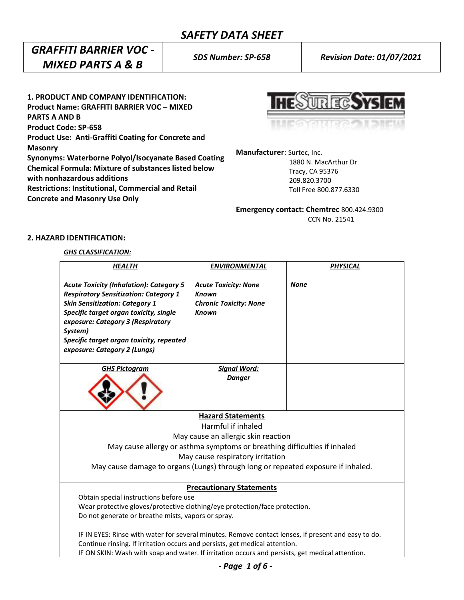## *GRAFFITI BARRIER VOC - MIXED PARTS A & B*

**1. PRODUCT AND COMPANY IDENTIFICATION: Product Name: GRAFFITI BARRIER VOC – MIXED PARTS A AND B Product Code: SP-658 Product Use: Anti-Graffiti Coating for Concrete and Masonry Synonyms: Waterborne Polyol/Isocyanate Based Coating Chemical Formula: Mixture of substances listed below with nonhazardous additions Restrictions: Institutional, Commercial and Retail Concrete and Masonry Use Only**



**Manufacturer**: Surtec, Inc. 1880 N. MacArthur Dr Tracy, CA 95376 209.820.3700

**Emergency contact: Chemtrec** 800.424.9300 CCN No. 21541

Toll Free 800.877.6330

## **2. HAZARD IDENTIFICATION:**

### *GHS CLASSIFICATION:*

| <b>HEALTH</b>                                                                                                                                                                                                                                                                                                 | <b>ENVIRONMENTAL</b>                                                                         | <b>PHYSICAL</b> |  |  |
|---------------------------------------------------------------------------------------------------------------------------------------------------------------------------------------------------------------------------------------------------------------------------------------------------------------|----------------------------------------------------------------------------------------------|-----------------|--|--|
| <b>Acute Toxicity (Inhalation): Category 5</b><br><b>Respiratory Sensitization: Category 1</b><br><b>Skin Sensitization: Category 1</b><br>Specific target organ toxicity, single<br>exposure: Category 3 (Respiratory<br>System)<br>Specific target organ toxicity, repeated<br>exposure: Category 2 (Lungs) | <b>Acute Toxicity: None</b><br><b>Known</b><br><b>Chronic Toxicity: None</b><br><b>Known</b> | <b>None</b>     |  |  |
| <b>GHS Pictogram</b>                                                                                                                                                                                                                                                                                          | <b>Signal Word:</b>                                                                          |                 |  |  |
|                                                                                                                                                                                                                                                                                                               | <b>Danger</b>                                                                                |                 |  |  |
|                                                                                                                                                                                                                                                                                                               | <b>Hazard Statements</b>                                                                     |                 |  |  |
| Harmful if inhaled                                                                                                                                                                                                                                                                                            |                                                                                              |                 |  |  |
| May cause an allergic skin reaction                                                                                                                                                                                                                                                                           |                                                                                              |                 |  |  |
| May cause allergy or asthma symptoms or breathing difficulties if inhaled                                                                                                                                                                                                                                     |                                                                                              |                 |  |  |
| May cause respiratory irritation                                                                                                                                                                                                                                                                              |                                                                                              |                 |  |  |
| May cause damage to organs (Lungs) through long or repeated exposure if inhaled.                                                                                                                                                                                                                              |                                                                                              |                 |  |  |
| <b>Precautionary Statements</b>                                                                                                                                                                                                                                                                               |                                                                                              |                 |  |  |
| Obtain special instructions before use                                                                                                                                                                                                                                                                        |                                                                                              |                 |  |  |
| Wear protective gloves/protective clothing/eye protection/face protection.                                                                                                                                                                                                                                    |                                                                                              |                 |  |  |
| Do not generate or breathe mists, vapors or spray.                                                                                                                                                                                                                                                            |                                                                                              |                 |  |  |
| IF IN EYES: Rinse with water for several minutes. Remove contact lenses, if present and easy to do.<br>Continue rinsing. If irritation occurs and persists, get medical attention.<br>IF ON SKIN: Wash with soap and water. If irritation occurs and persists, get medical attention.                         |                                                                                              |                 |  |  |

*- Page 1 of 6 -*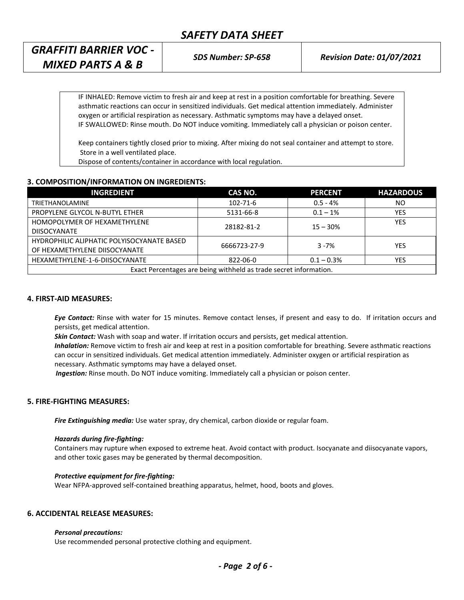| GRAFFITI BARRIER VOC -       |
|------------------------------|
| <b>MIXED PARTS A &amp; B</b> |

IF INHALED: Remove victim to fresh air and keep at rest in a position comfortable for breathing. Severe asthmatic reactions can occur in sensitized individuals. Get medical attention immediately. Administer oxygen or artificial respiration as necessary. Asthmatic symptoms may have a delayed onset. IF SWALLOWED: Rinse mouth. Do NOT induce vomiting. Immediately call a physician or poison center.

Keep containers tightly closed prior to mixing. After mixing do not seal container and attempt to store. Store in a well ventilated place.

Dispose of contents/container in accordance with local regulation.

## **3. COMPOSITION/INFORMATION ON INGREDIENTS:**

| <b>INGREDIENT</b>                                                 | CAS NO.        | <b>PERCENT</b> | <b>HAZARDOUS</b> |  |
|-------------------------------------------------------------------|----------------|----------------|------------------|--|
| <b>TRIETHANOLAMINE</b>                                            | $102 - 71 - 6$ | $0.5 - 4%$     | NO               |  |
| PROPYLENE GLYCOL N-BUTYL ETHER                                    | 5131-66-8      | $0.1 - 1\%$    | YES              |  |
| HOMOPOLYMER OF HEXAMETHYLENE                                      | 28182-81-2     | $15 - 30%$     | <b>YES</b>       |  |
| <b>DIISOCYANATE</b>                                               |                |                |                  |  |
| HYDROPHILIC ALIPHATIC POLYISOCYANATE BASED                        | 6666723-27-9   | $3 - 7%$       | YES              |  |
| OF HEXAMETHYLENE DIISOCYANATE                                     |                |                |                  |  |
| HEXAMETHYLENE-1-6-DIISOCYANATE                                    | 822-06-0       | $0.1 - 0.3\%$  | YES              |  |
| Exact Percentages are being withheld as trade secret information. |                |                |                  |  |

## **4. FIRST-AID MEASURES:**

*Eye Contact:* Rinse with water for 15 minutes. Remove contact lenses, if present and easy to do. If irritation occurs and persists, get medical attention.

*Skin Contact:* Wash with soap and water. If irritation occurs and persists, get medical attention.

*Inhalation:* Remove victim to fresh air and keep at rest in a position comfortable for breathing. Severe asthmatic reactions can occur in sensitized individuals. Get medical attention immediately. Administer oxygen or artificial respiration as necessary. Asthmatic symptoms may have a delayed onset.

 *Ingestion:* Rinse mouth. Do NOT induce vomiting. Immediately call a physician or poison center.

## **5. FIRE-FIGHTING MEASURES:**

*Fire Extinguishing media:* Use water spray, dry chemical, carbon dioxide or regular foam.

#### *Hazards during fire-fighting:*

Containers may rupture when exposed to extreme heat. Avoid contact with product. Isocyanate and diisocyanate vapors, and other toxic gases may be generated by thermal decomposition.

#### *Protective equipment for fire-fighting:*

Wear NFPA-approved self-contained breathing apparatus, helmet, hood, boots and gloves.

## **6. ACCIDENTAL RELEASE MEASURES:**

#### *Personal precautions:*

Use recommended personal protective clothing and equipment.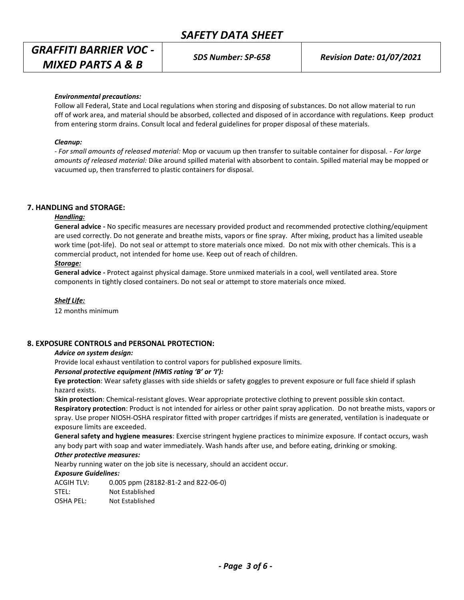# *GRAFFITI BARRIER VOC - MIXED PARTS A & B*

*SDS Number: SP-658 Revision Date: 01/07/2021*

### *Environmental precautions:*

Follow all Federal, State and Local regulations when storing and disposing of substances. Do not allow material to run off of work area, and material should be absorbed, collected and disposed of in accordance with regulations. Keep product from entering storm drains. Consult local and federal guidelines for proper disposal of these materials.

### *Cleanup:*

*- For small amounts of released material:* Mop or vacuum up then transfer to suitable container for disposal. - *For large amounts of released material:* Dike around spilled material with absorbent to contain. Spilled material may be mopped or vacuumed up, then transferred to plastic containers for disposal.

### **7. HANDLING and STORAGE:**

## *Handling:*

**General advice -** No specific measures are necessary provided product and recommended protective clothing/equipment are used correctly. Do not generate and breathe mists, vapors or fine spray. After mixing, product has a limited useable work time (pot-life). Do not seal or attempt to store materials once mixed. Do not mix with other chemicals. This is a commercial product, not intended for home use. Keep out of reach of children.

### *Storage:*

**General advice -** Protect against physical damage. Store unmixed materials in a cool, well ventilated area. Store components in tightly closed containers. Do not seal or attempt to store materials once mixed.

#### *Shelf Life:*

12 months minimum

#### **8. EXPOSURE CONTROLS and PERSONAL PROTECTION:**

#### *Advice on system design:*

Provide local exhaust ventilation to control vapors for published exposure limits.

#### *Personal protective equipment (HMIS rating 'B' or 'I'):*

**Eye protection**: Wear safety glasses with side shields or safety goggles to prevent exposure or full face shield if splash hazard exists.

**Skin protection**: Chemical-resistant gloves. Wear appropriate protective clothing to prevent possible skin contact. **Respiratory protection**: Product is not intended for airless or other paint spray application. Do not breathe mists, vapors or spray. Use proper NIOSH-OSHA respirator fitted with proper cartridges if mists are generated, ventilation is inadequate or exposure limits are exceeded.

**General safety and hygiene measures**: Exercise stringent hygiene practices to minimize exposure. If contact occurs, wash any body part with soap and water immediately. Wash hands after use, and before eating, drinking or smoking.

## *Other protective measures:*

Nearby running water on the job site is necessary, should an accident occur.

#### *Exposure Guidelines:*

ACGIH TLV: 0.005 ppm (28182-81-2 and 822-06-0) STEL: Not Established OSHA PEL: Not Established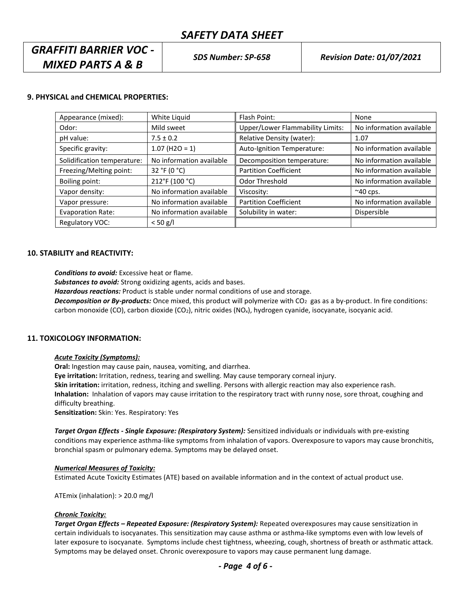## *GRAFFITI BARRIER VOC - MIXED PARTS A & B*

## **9. PHYSICAL and CHEMICAL PROPERTIES:**

| Appearance (mixed):         | White Liquid             | Flash Point:                            | None                     |
|-----------------------------|--------------------------|-----------------------------------------|--------------------------|
| Odor:                       | Mild sweet               | <b>Upper/Lower Flammability Limits:</b> | No information available |
| pH value:                   | $7.5 \pm 0.2$            | Relative Density (water):               | 1.07                     |
| Specific gravity:           | $1.07$ (H2O = 1)         | Auto-Ignition Temperature:              | No information available |
| Solidification temperature: | No information available | Decomposition temperature:              | No information available |
| Freezing/Melting point:     | 32 °F (0 °C)             | <b>Partition Coefficient</b>            | No information available |
| Boiling point:              | 212°F (100 °C)           | Odor Threshold                          | No information available |
| Vapor density:              | No information available | Viscosity:                              | $~\sim$ 40 cps.          |
| Vapor pressure:             | No information available | <b>Partition Coefficient</b>            | No information available |
| <b>Evaporation Rate:</b>    | No information available | Solubility in water:                    | Dispersible              |
| Regulatory VOC:             | $< 50$ g/l               |                                         |                          |

### **10. STABILITY and REACTIVITY:**

*Conditions to avoid:* Excessive heat or flame.

*Substances to avoid:* Strong oxidizing agents, acids and bases.

*Hazardous reactions:* Product is stable under normal conditions of use and storage.

*Decomposition or By-products:* Once mixed, this product will polymerize with CO<sub>2</sub> gas as a by-product. In fire conditions: carbon monoxide (CO), carbon dioxide (CO<sub>2</sub>), nitric oxides (NO<sub>x</sub>), hydrogen cyanide, isocyanate, isocyanic acid.

## **11. TOXICOLOGY INFORMATION:**

#### *Acute Toxicity (Symptoms):*

**Oral:** Ingestion may cause pain, nausea, vomiting, and diarrhea.

**Eye irritation:** Irritation, redness, tearing and swelling. May cause temporary corneal injury.

**Skin irritation:** irritation, redness, itching and swelling. Persons with allergic reaction may also experience rash. **Inhalation:** Inhalation of vapors may cause irritation to the respiratory tract with runny nose, sore throat, coughing and difficulty breathing.

**Sensitization:** Skin: Yes. Respiratory: Yes

*Target Organ Effects - Single Exposure: (Respiratory System):* Sensitized individuals or individuals with pre-existing conditions may experience asthma-like symptoms from inhalation of vapors. Overexposure to vapors may cause bronchitis, bronchial spasm or pulmonary edema. Symptoms may be delayed onset.

#### *Numerical Measures of Toxicity:*

Estimated Acute Toxicity Estimates (ATE) based on available information and in the context of actual product use.

ATEmix (inhalation): > 20.0 mg/l

## *Chronic Toxicity:*

*Target Organ Effects – Repeated Exposure: (Respiratory System):* Repeated overexposures may cause sensitization in certain individuals to isocyanates. This sensitization may cause asthma or asthma-like symptoms even with low levels of later exposure to isocyanate. Symptoms include chest tightness, wheezing, cough, shortness of breath or asthmatic attack. Symptoms may be delayed onset. Chronic overexposure to vapors may cause permanent lung damage.

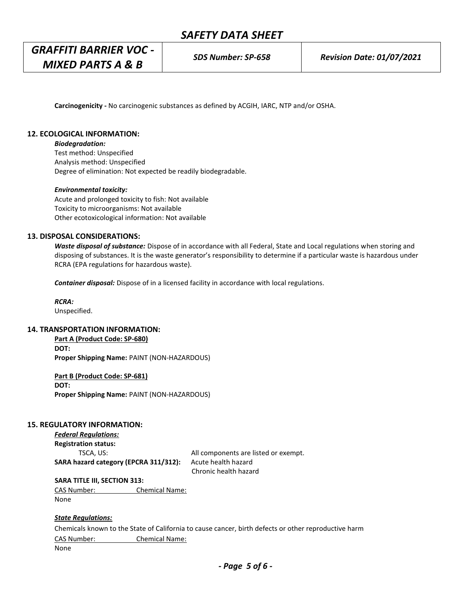**Carcinogenicity -** No carcinogenic substances as defined by ACGIH, IARC, NTP and/or OSHA.

## **12. ECOLOGICAL INFORMATION:**

### *Biodegradation:*

Test method: Unspecified Analysis method: Unspecified Degree of elimination: Not expected be readily biodegradable.

#### *Environmental toxicity:*

Acute and prolonged toxicity to fish: Not available Toxicity to microorganisms: Not available Other ecotoxicological information: Not available

### **13. DISPOSAL CONSIDERATIONS:**

*Waste disposal of substance:* Dispose of in accordance with all Federal, State and Local regulations when storing and disposing of substances. It is the waste generator's responsibility to determine if a particular waste is hazardous under RCRA (EPA regulations for hazardous waste).

*Container disposal:* Dispose of in a licensed facility in accordance with local regulations.

*RCRA:* Unspecified.

## **14. TRANSPORTATION INFORMATION:**

**Part A (Product Code: SP-680) DOT: Proper Shipping Name:** PAINT (NON-HAZARDOUS)

**Part B (Product Code: SP-681) DOT: Proper Shipping Name:** PAINT (NON-HAZARDOUS)

## **15. REGULATORY INFORMATION:**

*Federal Regulations:* **Registration status:**

TSCA, US: TSCA, US: TSCA, US: TSCA, US: TSCA, US: TSCA, US: TSCA, US: TSCA, US: TSCA, US: TSCA, US: TSCA, US: TSCA, US: TSCA, US: TSCA, US: TSCA, US: TSCA, US: TSCA, US: TSCA, US: TSCA, US: TSCA, US: TSCA, US: TSCA, US: TS **SARA hazard category (EPCRA 311/312):** Acute health hazard Chronic health hazard

**SARA TITLE III, SECTION 313:**

CAS Number: Chemical Name: None

#### *State Regulations:*

Chemicals known to the State of California to cause cancer, birth defects or other reproductive harm CAS Number: Chemical Name:

None